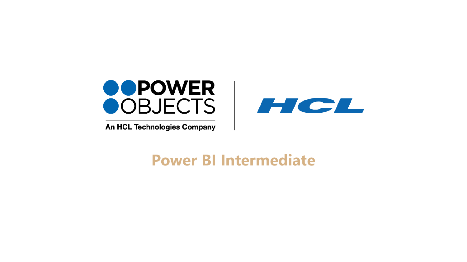

An HCL Technologies Company



# **Power BI Intermediate**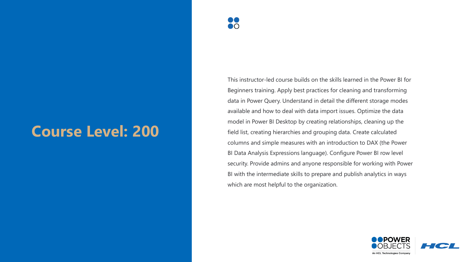# **Course Level: 200**

This instructor-led course builds on the skills learned in the Power BI for Beginners training. Apply best practices for cleaning and transforming data in Power Query. Understand in detail the different storage modes available and how to deal with data import issues. Optimize the data model in Power BI Desktop by creating relationships, cleaning up the field list, creating hierarchies and grouping data. Create calculated columns and simple measures with an introduction to DAX (the Power BI Data Analysis Expressions language). Configure Power BI row level security. Provide admins and anyone responsible for working with Power BI with the intermediate skills to prepare and publish analytics in ways which are most helpful to the organization.

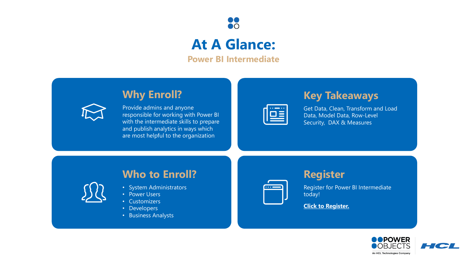

## **At A Glance:**

**Power BI Intermediate**

## **Why Enroll?**



Provide admins and anyone responsible for working with Power BI with the intermediate skills to prepare and publish analytics in ways which are most helpful to the organization

| $\bullet$<br>$\bullet\bullet$<br><b>Contract Contract Contract Contract</b> |
|-----------------------------------------------------------------------------|
|                                                                             |
|                                                                             |
|                                                                             |

**Key Takeaways**

Get Data, Clean, Transform and Load Data, Model Data, Row-Level Security, DAX & Measures

## **Who to Enroll?**

- System Administrators
- Power Users
- Customizers
- Developers
- Business Analysts



### **Register**

Register for Power BI Intermediate today!

**[Click to Register.](https://education.powerobjects.com/collections/power-bi)**

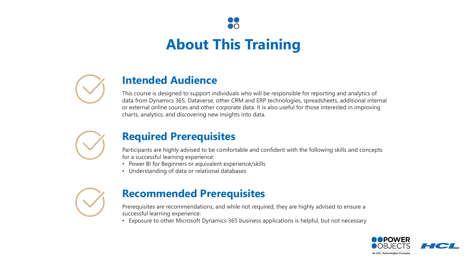

# **About This Training**



## **Intended Audience**

This course is designed to support individuals who will be responsible for reporting and analytics of data from Dynamics 365, Dataverse, other CRM and ERP technologies, spreadsheets, additional internal or external online sources and other corporate data. It is also useful for those interested in improving charts, analytics, and discovering new insights into data.



### **Required Prerequisites**

Participants are highly advised to be comfortable and confident with the following skills and concepts for a successful learning experience:

- Power BI for Beginners or equivalent experience/skills
- Understanding of data or relational databases



## **Recommended Prerequisites**

Prerequisites are recommendations, and while not required, they are highly advised to ensure a successful learning experience:

• Exposure to other Microsoft Dynamics 365 business applications is helpful, but not necessary

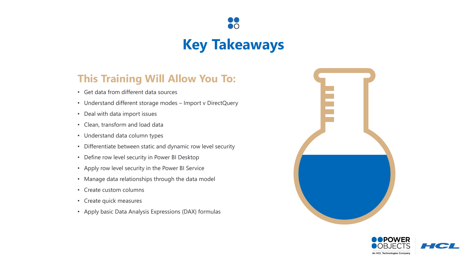

## **Key Takeaways**

## **This Training Will Allow You To:**

- Get data from different data sources
- Understand different storage modes Import v DirectQuery
- Deal with data import issues
- Clean, transform and load data
- Understand data column types
- Differentiate between static and dynamic row level security
- Define row level security in Power BI Desktop
- Apply row level security in the Power BI Service
- Manage data relationships through the data model
- Create custom columns
- Create quick measures
- Apply basic Data Analysis Expressions (DAX) formulas



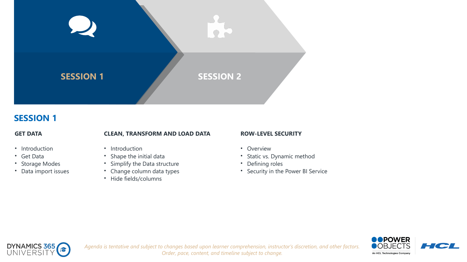

### **SESSION 1**

#### **GET DATA**

### **CLEAN, TRANSFORM AND LOAD DATA**

- Introduction
- Get Data
- Storage Modes
- Data import issues
- Introduction
- Shape the initial data
- Simplify the Data structure
- Change column data types
- Hide fields/columns

#### **ROW-LEVEL SECURITY**

- Overview
- Static vs. Dynamic method
- Defining roles
- Security in the Power BI Service



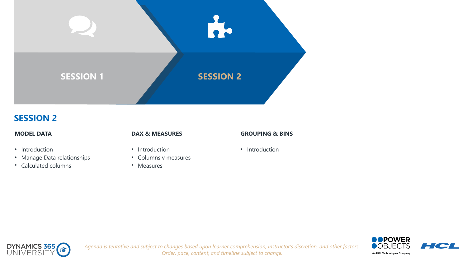

### **SESSION 2**

#### **MODEL DATA**

- Introduction
- Manage Data relationships
- Calculated columns

#### **DAX & MEASURES**

- Introduction
- Columns v measures
- Measures

#### **GROUPING & BINS**

• Introduction

*Order, pace, content, and timeline subject to change.*